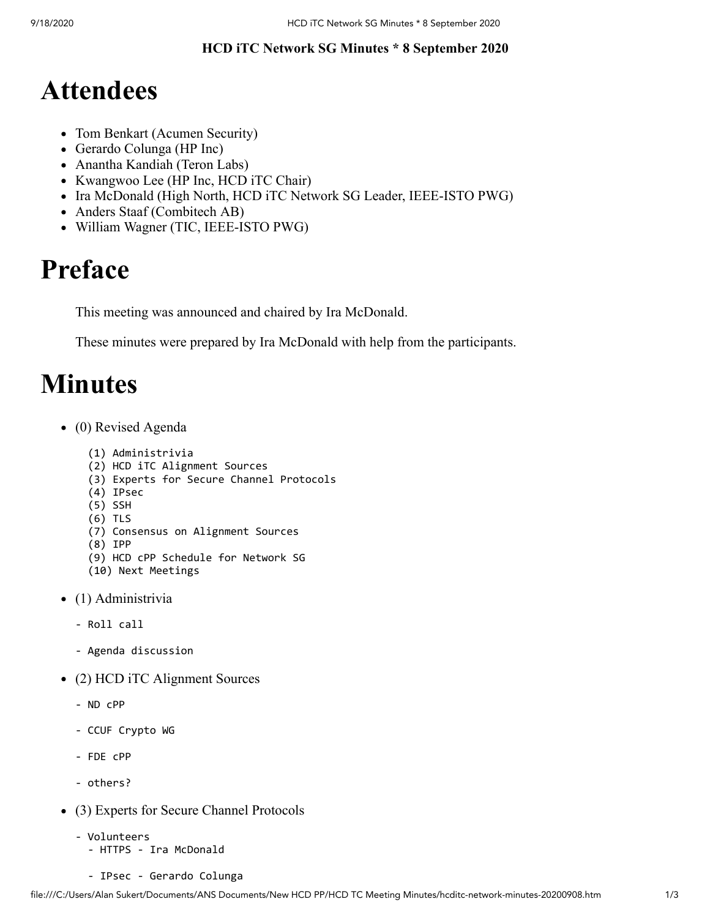## **HCD iTC Network SG Minutes \* 8 September 2020**

## **Attendees**

- Tom Benkart (Acumen Security)
- Gerardo Colunga (HP Inc)
- Anantha Kandiah (Teron Labs)
- Kwangwoo Lee (HP Inc, HCD iTC Chair)
- Ira McDonald (High North, HCD iTC Network SG Leader, IEEE-ISTO PWG)
- Anders Staaf (Combitech AB)
- William Wagner (TIC, IEEE-ISTO PWG)

## **Preface**

This meeting was announced and chaired by Ira McDonald.

These minutes were prepared by Ira McDonald with help from the participants.

## **Minutes**

• (0) Revised Agenda

```
 (1) Administrivia
```
- (2) HCD iTC Alignment Sources
- (3) Experts for Secure Channel Protocols
- (4) IPsec
- (5) SSH
- (6) TLS
- (7) Consensus on Alignment Sources
- (8) IPP
- (9) HCD cPP Schedule for Network SG
- (10) Next Meetings
- (1) Administrivia
	- Roll call
	- Agenda discussion
- (2) HCD iTC Alignment Sources
	- ND cPP
	- CCUF Crypto WG
	- FDE cPP
	- others?
- (3) Experts for Secure Channel Protocols
	- Volunteers - HTTPS - Ira McDonald
		- IPsec Gerardo Colunga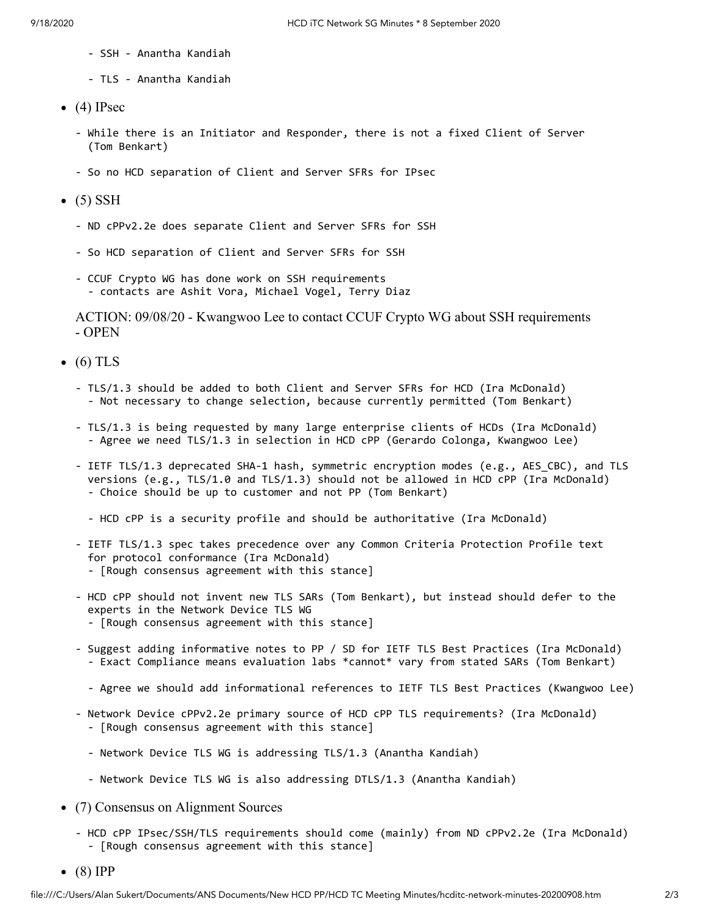- SSH Anantha Kandiah
- TLS Anantha Kandiah
- $\bullet$  (4) IPsec
	- While there is an Initiator and Responder, there is not a fixed Client of Server (Tom Benkart)
	- So no HCD separation of Client and Server SFRs for IPsec
- $\bullet$  (5) SSH
	- ND cPPv2.2e does separate Client and Server SFRs for SSH
	- So HCD separation of Client and Server SFRs for SSH
	- CCUF Crypto WG has done work on SSH requirements - contacts are Ashit Vora, Michael Vogel, Terry Diaz

ACTION: 09/08/20 - Kwangwoo Lee to contact CCUF Crypto WG about SSH requirements - OPEN

- $\bullet$  (6) TLS
	- TLS/1.3 should be added to both Client and Server SFRs for HCD (Ira McDonald) - Not necessary to change selection, because currently permitted (Tom Benkart)
	- TLS/1.3 is being requested by many large enterprise clients of HCDs (Ira McDonald) - Agree we need TLS/1.3 in selection in HCD cPP (Gerardo Colonga, Kwangwoo Lee)
	- IETF TLS/1.3 deprecated SHA-1 hash, symmetric encryption modes (e.g., AES\_CBC), and TLS versions (e.g., TLS/1.0 and TLS/1.3) should not be allowed in HCD cPP (Ira McDonald) - Choice should be up to customer and not PP (Tom Benkart)
		- HCD cPP is a security profile and should be authoritative (Ira McDonald)
	- IETF TLS/1.3 spec takes precedence over any Common Criteria Protection Profile text for protocol conformance (Ira McDonald) - [Rough consensus agreement with this stance]
	- HCD cPP should not invent new TLS SARs (Tom Benkart), but instead should defer to the experts in the Network Device TLS WG - [Rough consensus agreement with this stance]
	- Suggest adding informative notes to PP / SD for IETF TLS Best Practices (Ira McDonald) - Exact Compliance means evaluation labs \*cannot\* vary from stated SARs (Tom Benkart)
		- Agree we should add informational references to IETF TLS Best Practices (Kwangwoo Lee)
	- Network Device cPPv2.2e primary source of HCD cPP TLS requirements? (Ira McDonald) - [Rough consensus agreement with this stance]
		- Network Device TLS WG is addressing TLS/1.3 (Anantha Kandiah)
		- Network Device TLS WG is also addressing DTLS/1.3 (Anantha Kandiah)
- (7) Consensus on Alignment Sources
	- HCD cPP IPsec/SSH/TLS requirements should come (mainly) from ND cPPv2.2e (Ira McDonald) - [Rough consensus agreement with this stance]
- $\bullet$  (8) IPP